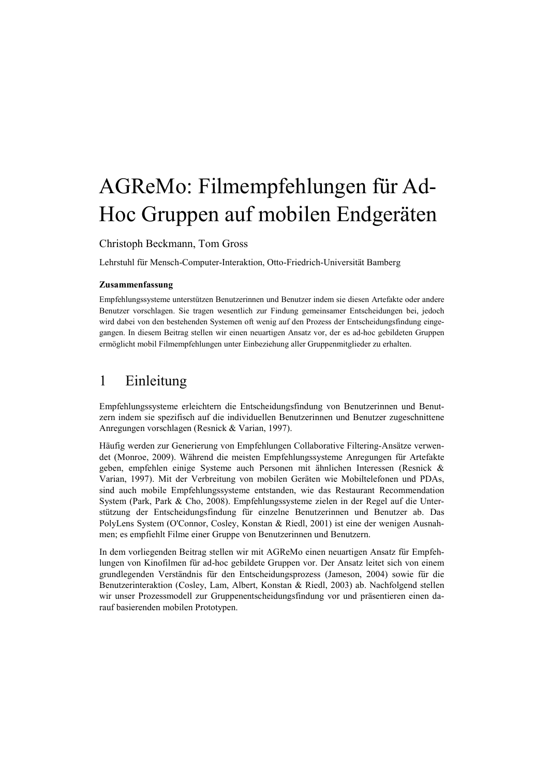# AGReMo: Filmempfehlungen für Ad-Hoc Gruppen auf mobilen Endgeräten

Christoph Beckmann, Tom Gross

Lehrstuhl für Mensch-Computer-Interaktion, Otto-Friedrich-Universität Bamberg

## Zusammenfassung

Empfehlungssysteme unterstützen Benutzerinnen und Benutzer indem sie diesen Artefakte oder andere Benutzer vorschlagen. Sie tragen wesentlich zur Findung gemeinsamer Entscheidungen bei, jedoch wird dabei von den bestehenden Systemen oft wenig auf den Prozess der Entscheidungsfindung eingegangen. In diesem Beitrag stellen wir einen neuartigen Ansatz vor, der es ad-hoc gebildeten Gruppen ermöglicht mobil Filmempfehlungen unter Einbeziehung aller Gruppenmitglieder zu erhalten.

#### Einleitung  $\mathbf{1}$

Empfehlungssysteme erleichtern die Entscheidungsfindung von Benutzerinnen und Benutzern indem sie spezifisch auf die individuellen Benutzerinnen und Benutzer zugeschnittene Anregungen vorschlagen (Resnick & Varian, 1997).

<span id="page-0-0"></span>Häufig werden zur Generierung von Empfehlungen Collaborative Filtering-Ansätze verwendet (Monroe, 2009). Während die meisten Empfehlungssysteme Anregungen für Artefakte geben, empfehlen einige Systeme auch Personen mit ähnlichen Interessen (Resnick & Varian, 1997). Mit der Verbreitung von mobilen Geräten wie Mobiltelefonen und PDAs, sind auch mobile Empfehlungssysteme entstanden, wie das Restaurant Recommendation System (Park, Park & Cho, 2008). Empfehlungssysteme zielen in der Regel auf die Unterstützung der Entscheidungsfindung für einzelne Benutzerinnen und Benutzer ab. Das PolyLens System (O'Connor, Cosley, Konstan & Riedl, 2001) ist eine der wenigen Ausnahmen; es empfiehlt Filme einer Gruppe von Benutzerinnen und Benutzern.

In dem vorliegenden Beitrag stellen wir mit AGReMo einen neuartigen Ansatz für Empfehlungen von Kinofilmen für ad-hoc gebildete Gruppen vor. Der Ansatz leitet sich von einem grundlegenden Verständnis für den Entscheidungsprozess (Jameson, 2004) sowie für die Benutzerinteraktion (Cosley, Lam, Albert, Konstan & Riedl, 2003) ab. Nachfolgend stellen wir unser Prozessmodell zur Gruppenentscheidungsfindung vor und präsentieren einen darauf basierenden mobilen Prototypen.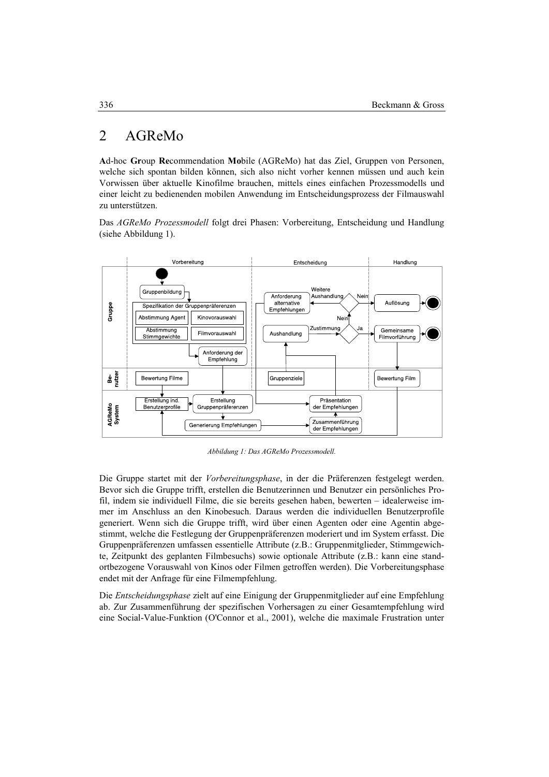#### $\overline{2}$ AGReMo

Ad-hoc Group Recommendation Mobile (AGReMo) hat das Ziel, Gruppen von Personen, welche sich spontan bilden können, sich also nicht vorher kennen müssen und auch kein Vorwissen über aktuelle Kinofilme brauchen, mittels eines einfachen Prozessmodells und einer leicht zu bedienenden mobilen Anwendung im Entscheidungsprozess der Filmauswahl zu unterstützen.

Das AGReMo Prozessmodell folgt drei Phasen: Vorbereitung, Entscheidung und Handlung (siehe Abbildung 1).



Abbildung 1: Das AGReMo Prozessmodell.

Die Gruppe startet mit der Vorbereitungsphase, in der die Präferenzen festgelegt werden. Bevor sich die Gruppe trifft, erstellen die Benutzerinnen und Benutzer ein persönliches Profil, indem sie individuell Filme, die sie bereits gesehen haben, bewerten - idealerweise immer im Anschluss an den Kinobesuch. Daraus werden die individuellen Benutzerprofile generiert. Wenn sich die Gruppe trifft, wird über einen Agenten oder eine Agentin abgestimmt, welche die Festlegung der Gruppenpräferenzen moderiert und im System erfasst. Die Gruppenpräferenzen umfassen essentielle Attribute (z.B.: Gruppenmitglieder, Stimmgewichte, Zeitpunkt des geplanten Filmbesuchs) sowie optionale Attribute (z.B.: kann eine standortbezogene Vorauswahl von Kinos oder Filmen getroffen werden). Die Vorbereitungsphase endet mit der Anfrage für eine Filmempfehlung.

Die *Entscheidungsphase* zielt auf eine Einigung der Gruppenmitglieder auf eine Empfehlung ab. Zur Zusammenführung der spezifischen Vorhersagen zu einer Gesamtempfehlung wird eine Social-Value-Funktion (O'Connor et al., 2001), welche die maximale Frustration unter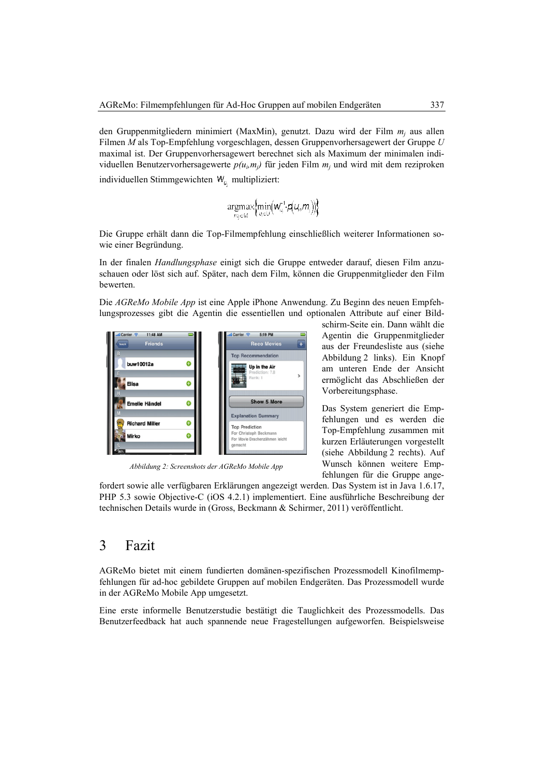den Gruppenmitgliedern minimiert (MaxMin), genutzt. Dazu wird der Film  $m_i$  aus allen Filmen M als Top-Empfehlung vorgeschlagen, dessen Gruppenvorhersagewert der Gruppe U maximal ist. Der Gruppenvorhersagewert berechnet sich als Maximum der minimalen individuellen Benutzervorhersagewerte  $p(u_i, m_j)$  für jeden Film  $m_i$  und wird mit dem reziproken individuellen Stimmgewichten  $W_{u}$  multipliziert:

 $\underset{m_j \in M}{\text{argmax}} \Big\{\!\!\min_{u_i \in U}\!\!\left(\!\textbf{w}_{u_i}^{\text{-1}}\!\!,\!\textbf{q}(u_i\!,\!m_j)\!\right)\!\!\Big\}$ 

Die Gruppe erhält dann die Top-Filmempfehlung einschließlich weiterer Informationen sowie einer Begründung.

In der finalen *Handlungsphase* einigt sich die Gruppe entweder darauf, diesen Film anzuschauen oder löst sich auf. Später, nach dem Film, können die Gruppenmitglieder den Film bewerten.

Die AGReMo Mobile App ist eine Apple iPhone Anwendung. Zu Beginn des neuen Empfehlungsprozesses gibt die Agentin die essentiellen und optionalen Attribute auf einer Bild-



Abbildung 2: Screenshots der AGReMo Mobile App

schirm-Seite ein. Dann wählt die Agentin die Gruppenmitglieder aus der Freundesliste aus (siehe Abbildung 2 links). Ein Knopf am unteren Ende der Ansicht ermöglicht das Abschließen der Vorbereitungsphase.

Das System generiert die Empfehlungen und es werden die Top-Empfehlung zusammen mit kurzen Erläuterungen vorgestellt (siehe Abbildung 2 rechts). Auf Wunsch können weitere Empfehlungen für die Gruppe ange-

fordert sowie alle verfügbaren Erklärungen angezeigt werden. Das System ist in Java 1.6.17, PHP 5.3 sowie Objective-C (iOS 4.2.1) implementiert. Eine ausführliche Beschreibung der technischen Details wurde in (Gross, Beckmann & Schirmer, 2011) veröffentlicht.

#### 3 Fazit

AGReMo bietet mit einem fundierten domänen-spezifischen Prozessmodell Kinofilmempfehlungen für ad-hoc gebildete Gruppen auf mobilen Endgeräten. Das Prozessmodell wurde in der AGReMo Mobile App umgesetzt.

Eine erste informelle Benutzerstudie bestätigt die Tauglichkeit des Prozessmodells. Das Benutzerfeedback hat auch spannende neue Fragestellungen aufgeworfen. Beispielsweise